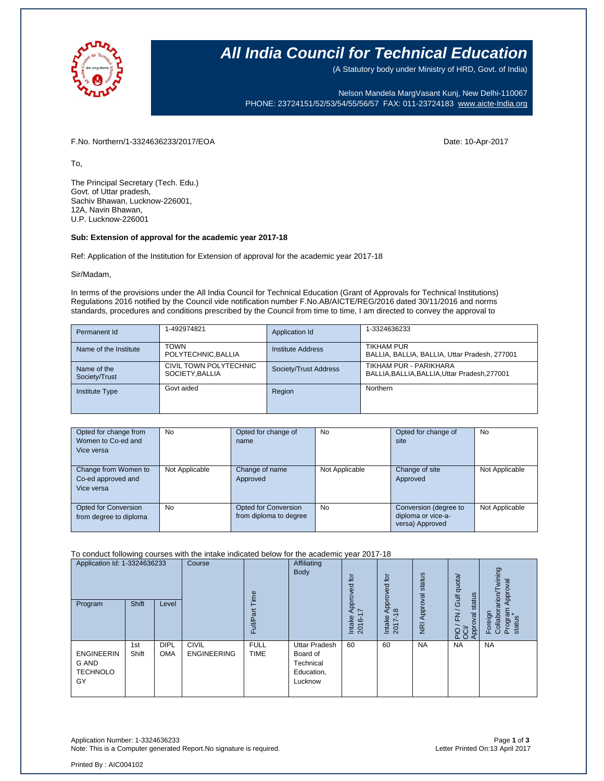

## **All India Council for Technical Education**

(A Statutory body under Ministry of HRD, Govt. of India)

Nelson Mandela MargVasant Kunj, New Delhi-110067 PHONE: 23724151/52/53/54/55/56/57 FAX: 011-23724183 [www.aicte-India.org](http://www.aicte-india.org/)

F.No. Northern/1-3324636233/2017/EOA Date: 10-Apr-2017

To,

The Principal Secretary (Tech. Edu.) Govt. of Uttar pradesh, Sachiv Bhawan, Lucknow-226001, 12A, Navin Bhawan, U.P. Lucknow-226001

## **Sub: Extension of approval for the academic year 2017-18**

Ref: Application of the Institution for Extension of approval for the academic year 2017-18

### Sir/Madam,

In terms of the provisions under the All India Council for Technical Education (Grant of Approvals for Technical Institutions) Regulations 2016 notified by the Council vide notification number F.No.AB/AICTE/REG/2016 dated 30/11/2016 and norms standards, procedures and conditions prescribed by the Council from time to time, I am directed to convey the approval to

| Permanent Id                 | 1-492974821                              | Application Id           | 1-3324636233                                                            |
|------------------------------|------------------------------------------|--------------------------|-------------------------------------------------------------------------|
| Name of the Institute        | <b>TOWN</b><br>POLYTECHNIC, BALLIA       | <b>Institute Address</b> | <b>TIKHAM PUR</b><br>BALLIA, BALLIA, BALLIA, Uttar Pradesh, 277001      |
| Name of the<br>Society/Trust | CIVIL TOWN POLYTECHNIC<br>SOCIETY BALLIA | Society/Trust Address    | TIKHAM PUR - PARIKHARA<br>BALLIA, BALLIA, BALLIA, Uttar Pradesh, 277001 |
| <b>Institute Type</b>        | Govt aided                               | Region                   | Northern                                                                |

| Opted for change from<br>Women to Co-ed and<br>Vice versa | No             | Opted for change of<br>name                           | No             | Opted for change of<br>site                                    | No             |
|-----------------------------------------------------------|----------------|-------------------------------------------------------|----------------|----------------------------------------------------------------|----------------|
| Change from Women to<br>Co-ed approved and<br>Vice versa  | Not Applicable | Change of name<br>Approved                            | Not Applicable | Change of site<br>Approved                                     | Not Applicable |
| <b>Opted for Conversion</b><br>from degree to diploma     | No             | <b>Opted for Conversion</b><br>from diploma to degree | <b>No</b>      | Conversion (degree to<br>diploma or vice-a-<br>versa) Approved | Not Applicable |

### To conduct following courses with the intake indicated below for the academic year 2017-18

| Application Id: 1-3324636233<br>Program             | Shift        | Level                     | Course                             | ime<br>āť<br>Full/P <sub>i</sub> | Affiliating<br>Body                                                    | tor<br>Approved<br>I7<br>Intake<br>2016-1 | tor<br>pproved<br>$\frac{\infty}{2}$<br>Intake<br>2017- | status<br>Approval<br>$\overline{z}$ | FN / Gulf quota/<br>status<br>Approval<br><b>PO</b> | wining<br>Approval<br>Foreign<br>Collaborarion/Tv<br>Program<br>status |
|-----------------------------------------------------|--------------|---------------------------|------------------------------------|----------------------------------|------------------------------------------------------------------------|-------------------------------------------|---------------------------------------------------------|--------------------------------------|-----------------------------------------------------|------------------------------------------------------------------------|
| <b>ENGINEERIN</b><br>G AND<br><b>TECHNOLO</b><br>GY | 1st<br>Shift | <b>DIPL</b><br><b>OMA</b> | <b>CIVIL</b><br><b>ENGINEERING</b> | <b>FULL</b><br><b>TIME</b>       | <b>Uttar Pradesh</b><br>Board of<br>Technical<br>Education,<br>Lucknow | 60                                        | 60                                                      | <b>NA</b>                            | <b>NA</b>                                           | <b>NA</b>                                                              |

Application Number: 1-3324636233 Page **1** of **3** Note: This is a Computer generated Report.No signature is required.

Printed By : AIC004102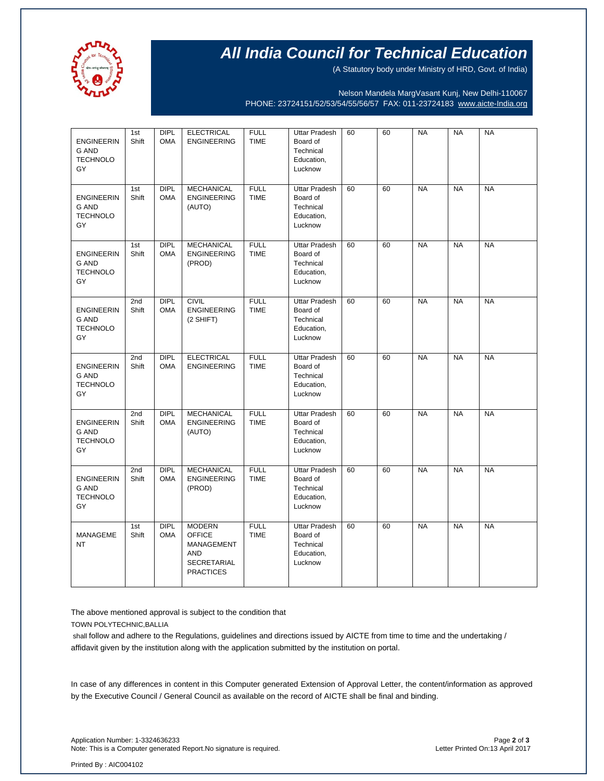

# **All India Council for Technical Education**

(A Statutory body under Ministry of HRD, Govt. of India)

Nelson Mandela MargVasant Kunj, New Delhi-110067 PHONE: 23724151/52/53/54/55/56/57 FAX: 011-23724183 [www.aicte-India.org](http://www.aicte-india.org/)

| <b>ENGINEERIN</b><br><b>G AND</b><br><b>TECHNOLO</b><br>GY | 1st<br>Shift<br>1st | <b>DIPL</b><br><b>OMA</b><br><b>DIPL</b> | <b>ELECTRICAL</b><br><b>ENGINEERING</b><br><b>MECHANICAL</b>                                  | <b>FULL</b><br><b>TIME</b><br><b>FULL</b> | <b>Uttar Pradesh</b><br>Board of<br>Technical<br>Education,<br>Lucknow<br><b>Uttar Pradesh</b> | 60<br>60 | 60<br>60 | <b>NA</b><br><b>NA</b> | <b>NA</b><br><b>NA</b> | <b>NA</b><br><b>NA</b> |
|------------------------------------------------------------|---------------------|------------------------------------------|-----------------------------------------------------------------------------------------------|-------------------------------------------|------------------------------------------------------------------------------------------------|----------|----------|------------------------|------------------------|------------------------|
| <b>ENGINEERIN</b><br><b>G AND</b><br><b>TECHNOLO</b><br>GY | Shift               | <b>OMA</b>                               | <b>ENGINEERING</b><br>(AUTO)                                                                  | <b>TIME</b>                               | Board of<br>Technical<br>Education,<br>Lucknow                                                 |          |          |                        |                        |                        |
| <b>ENGINEERIN</b><br><b>G AND</b><br><b>TECHNOLO</b><br>GY | 1st<br>Shift        | <b>DIPL</b><br><b>OMA</b>                | <b>MECHANICAL</b><br><b>ENGINEERING</b><br>(PROD)                                             | <b>FULL</b><br><b>TIME</b>                | <b>Uttar Pradesh</b><br>Board of<br>Technical<br>Education,<br>Lucknow                         | 60       | 60       | <b>NA</b>              | <b>NA</b>              | <b>NA</b>              |
| <b>ENGINEERIN</b><br><b>G AND</b><br><b>TECHNOLO</b><br>GY | 2nd<br>Shift        | <b>DIPL</b><br><b>OMA</b>                | <b>CIVIL</b><br><b>ENGINEERING</b><br>(2 SHIFT)                                               | <b>FULL</b><br>TIME                       | <b>Uttar Pradesh</b><br>Board of<br>Technical<br>Education,<br>Lucknow                         | 60       | 60       | <b>NA</b>              | <b>NA</b>              | <b>NA</b>              |
| <b>ENGINEERIN</b><br><b>G AND</b><br><b>TECHNOLO</b><br>GY | 2nd<br>Shift        | <b>DIPL</b><br><b>OMA</b>                | <b>ELECTRICAL</b><br><b>ENGINEERING</b>                                                       | <b>FULL</b><br><b>TIME</b>                | <b>Uttar Pradesh</b><br>Board of<br>Technical<br>Education,<br>Lucknow                         | 60       | 60       | <b>NA</b>              | <b>NA</b>              | <b>NA</b>              |
| <b>ENGINEERIN</b><br><b>G AND</b><br><b>TECHNOLO</b><br>GY | 2nd<br>Shift        | DIPL<br><b>OMA</b>                       | <b>MECHANICAL</b><br><b>ENGINEERING</b><br>(AUTO)                                             | <b>FULL</b><br><b>TIME</b>                | <b>Uttar Pradesh</b><br>Board of<br>Technical<br>Education,<br>Lucknow                         | 60       | 60       | <b>NA</b>              | <b>NA</b>              | <b>NA</b>              |
| <b>ENGINEERIN</b><br><b>G AND</b><br><b>TECHNOLO</b><br>GY | 2nd<br>Shift        | <b>DIPL</b><br><b>OMA</b>                | <b>MECHANICAL</b><br><b>ENGINEERING</b><br>(PROD)                                             | <b>FULL</b><br><b>TIME</b>                | <b>Uttar Pradesh</b><br>Board of<br>Technical<br>Education,<br>Lucknow                         | 60       | 60       | <b>NA</b>              | <b>NA</b>              | <b>NA</b>              |
| MANAGEME<br><b>NT</b>                                      | 1st<br>Shift        | <b>DIPL</b><br><b>OMA</b>                | <b>MODERN</b><br><b>OFFICE</b><br>MANAGEMENT<br><b>AND</b><br>SECRETARIAL<br><b>PRACTICES</b> | <b>FULL</b><br><b>TIME</b>                | <b>Uttar Pradesh</b><br>Board of<br>Technical<br>Education,<br>Lucknow                         | 60       | 60       | <b>NA</b>              | <b>NA</b>              | <b>NA</b>              |

The above mentioned approval is subject to the condition that

TOWN POLYTECHNIC,BALLIA

shall follow and adhere to the Regulations, guidelines and directions issued by AICTE from time to time and the undertaking / affidavit given by the institution along with the application submitted by the institution on portal.

In case of any differences in content in this Computer generated Extension of Approval Letter, the content/information as approved by the Executive Council / General Council as available on the record of AICTE shall be final and binding.